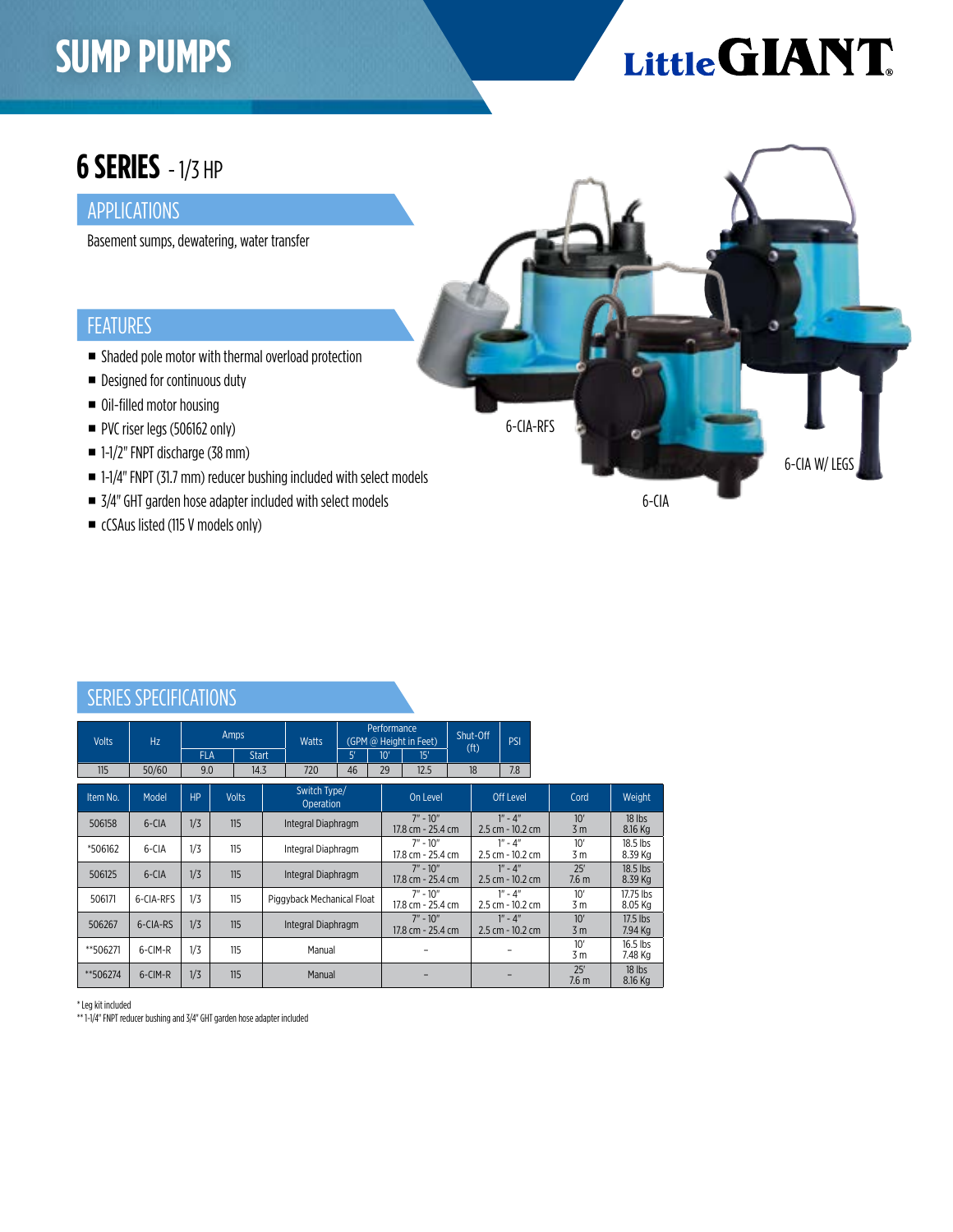## **SUMP PUMPS**

# Little GIANT

6-CIA W/ LEGS

### **6 SERIES** - 1/3 HP

#### APPLICATIONS

Basement sumps, dewatering, water transfer

#### FEATURES

- Shaded pole motor with thermal overload protection
- Designed for continuous duty
- Oil-filled motor housing
- PVC riser legs (506162 only)
- 1-1/2" FNPT discharge (38 mm)
- 1-1/4" FNPT (31.7 mm) reducer bushing included with select models
- 3/4" GHT garden hose adapter included with select models
- cCSAus listed (115 V models only)

| SERIES SI EVILIVATIONS |           |           |                                    |      |                                  |    |     |                                              |  |                                 |                                 |                         |                       |
|------------------------|-----------|-----------|------------------------------------|------|----------------------------------|----|-----|----------------------------------------------|--|---------------------------------|---------------------------------|-------------------------|-----------------------|
| <b>Volts</b>           | Hz        |           | Amps<br><b>FLA</b><br><b>Start</b> |      | <b>Watts</b>                     | 5' | 10' | Performance<br>(GPM @ Height in Feet)<br>15' |  | Shut-Off<br>(f <sup>t</sup> )   | PSI                             |                         |                       |
| 115                    | 50/60     | 9.0       |                                    | 14.3 | 720                              | 46 | 29  | 12.5                                         |  | 18                              | 7.8                             |                         |                       |
|                        |           |           |                                    |      |                                  |    |     |                                              |  |                                 |                                 |                         |                       |
| Item No.               | Model     | <b>HP</b> | <b>Volts</b>                       |      | Switch Type/<br><b>Operation</b> |    |     | On Level                                     |  | <b>Off Level</b>                |                                 | Cord                    | Weight                |
| 506158                 | 6-CIA     | 1/3       | 115                                |      | Integral Diaphragm               |    |     | $7" - 10"$<br>17.8 cm - 25.4 cm              |  | $1" - 4"$<br>2.5 cm - 10.2 cm   |                                 | 10'<br>3 <sub>m</sub>   | 18 lbs<br>8.16 Kg     |
| *506162                | 6-CIA     | 1/3       | 115                                |      | Integral Diaphragm               |    |     | $7" - 10"$<br>17.8 cm - 25.4 cm              |  | $1" - 4"$<br>2.5 cm - 10.2 cm   |                                 | 10'<br>3 <sub>m</sub>   | $18.5$ lbs<br>8.39 Kg |
| 506125                 | 6-CIA     | 1/3       | 115                                |      | Integral Diaphragm               |    |     | $7" - 10"$<br>17.8 cm - 25.4 cm              |  |                                 | $1" - 4"$<br>$2.5$ cm - 10.2 cm | 25'<br>7.6 <sub>m</sub> | $18.5$ lbs<br>8.39 Kg |
| 506171                 | 6-CIA-RFS | 1/3       | 115                                |      | Piggyback Mechanical Float       |    |     | $7" - 10"$<br>17.8 cm - 25.4 cm              |  | $1" - 4"$<br>2.5 cm - 10.2 cm   |                                 | 10'<br>3 m              | 17.75 lbs<br>8.05 Kg  |
| 506267                 | 6-CIA-RS  | 1/3       | 115                                |      | Integral Diaphragm               |    |     | $7" - 10"$<br>17.8 cm - 25.4 cm              |  | $1" - 4"$<br>$2.5$ cm - 10.2 cm |                                 | 10'<br>3 <sub>m</sub>   | $17.5$ lbs<br>7.94 Kg |
| **506271               | 6-CIM-R   | 1/3       | 115                                |      | Manual                           |    |     |                                              |  |                                 |                                 | 10'<br>3 <sub>m</sub>   | $16.5$ lbs<br>7.48 Kg |
| **506274               | 6-CIM-R   | 1/3       | 115                                |      | Manual                           |    |     |                                              |  |                                 |                                 | 25'<br>7.6 <sub>m</sub> | 18 lbs<br>8.16 Kg     |

#### SERIES SPECIFICATIONS

\* Leg kit included

\*\* 1-1/4" FNPT reducer bushing and 3/4" GHT garden hose adapter included

6-CIA-RFS

6-CIA